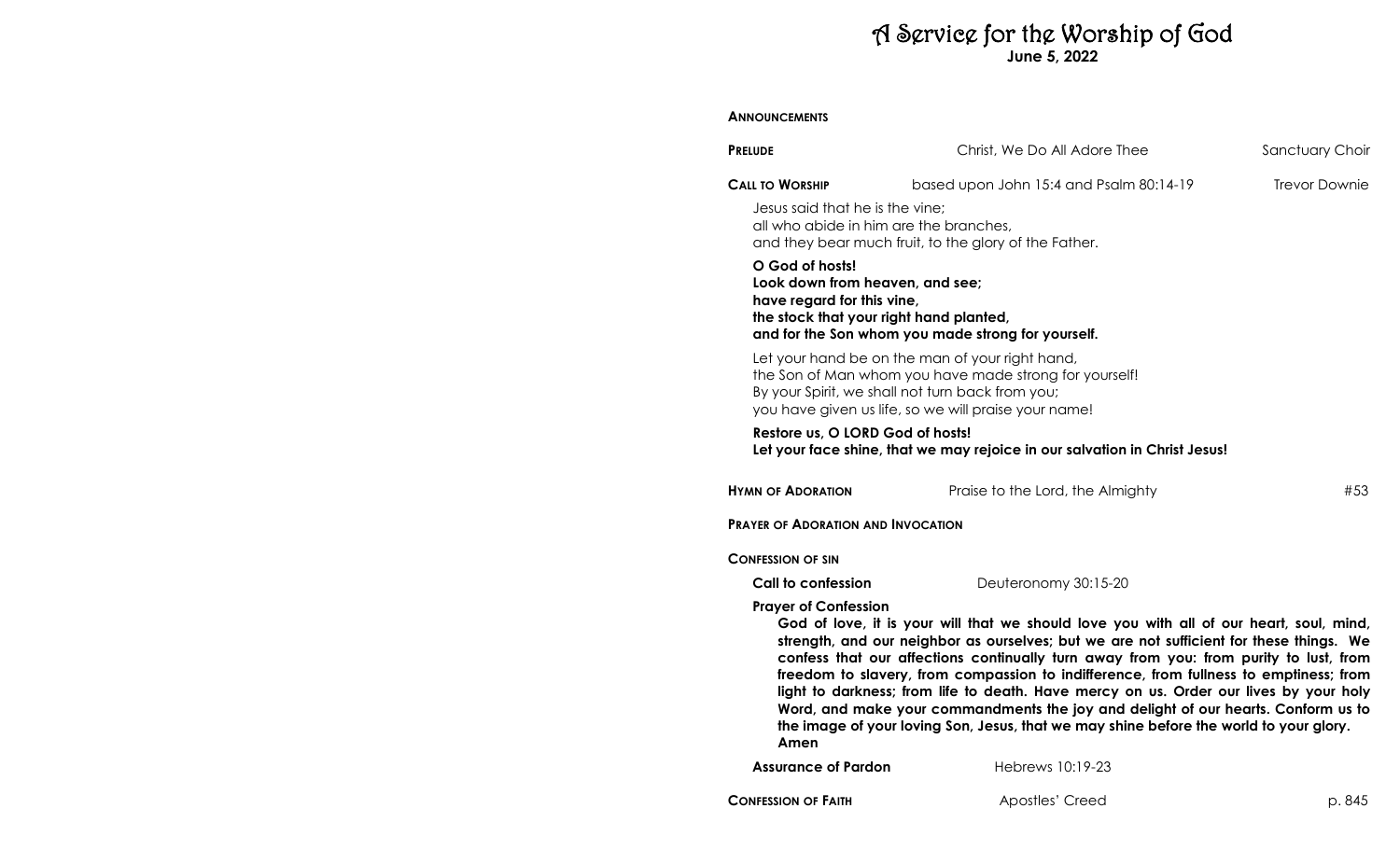# A Service for the Worship of God **June 5, 2022**

## **ANNOUNCEMENTS**

| <b>PRELUDE</b>                                                                                                              | Christ, We Do All Adore Thee                                                                                                                                                                                                                                                                                                                                                                                                                                                                                                                                                                                                                 | Sanctuary Choir      |
|-----------------------------------------------------------------------------------------------------------------------------|----------------------------------------------------------------------------------------------------------------------------------------------------------------------------------------------------------------------------------------------------------------------------------------------------------------------------------------------------------------------------------------------------------------------------------------------------------------------------------------------------------------------------------------------------------------------------------------------------------------------------------------------|----------------------|
| <b>CALL TO WORSHIP</b>                                                                                                      | based upon John 15:4 and Psalm 80:14-19                                                                                                                                                                                                                                                                                                                                                                                                                                                                                                                                                                                                      | <b>Trevor Downie</b> |
| Jesus said that he is the vine;<br>all who abide in him are the branches,                                                   | and they bear much fruit, to the glory of the Father.                                                                                                                                                                                                                                                                                                                                                                                                                                                                                                                                                                                        |                      |
| O God of hosts!<br>Look down from heaven, and see;<br>have regard for this vine,<br>the stock that your right hand planted, | and for the Son whom you made strong for yourself.                                                                                                                                                                                                                                                                                                                                                                                                                                                                                                                                                                                           |                      |
|                                                                                                                             | Let your hand be on the man of your right hand,<br>the Son of Man whom you have made strong for yourself!<br>By your Spirit, we shall not turn back from you;<br>you have given us life, so we will praise your name!                                                                                                                                                                                                                                                                                                                                                                                                                        |                      |
| Restore us, O LORD God of hosts!                                                                                            | Let your face shine, that we may rejoice in our salvation in Christ Jesus!                                                                                                                                                                                                                                                                                                                                                                                                                                                                                                                                                                   |                      |
| <b>HYMN OF ADORATION</b>                                                                                                    | Praise to the Lord, the Almighty                                                                                                                                                                                                                                                                                                                                                                                                                                                                                                                                                                                                             | #53                  |
| <b>PRAYER OF ADORATION AND INVOCATION</b>                                                                                   |                                                                                                                                                                                                                                                                                                                                                                                                                                                                                                                                                                                                                                              |                      |
| <b>CONFESSION OF SIN</b>                                                                                                    |                                                                                                                                                                                                                                                                                                                                                                                                                                                                                                                                                                                                                                              |                      |
| Call to confession                                                                                                          | Deuteronomy 30:15-20                                                                                                                                                                                                                                                                                                                                                                                                                                                                                                                                                                                                                         |                      |
| <b>Prayer of Confession</b><br>Amen                                                                                         | God of love, it is your will that we should love you with all of our heart, soul, mind,<br>strength, and our neighbor as ourselves; but we are not sufficient for these things. We<br>confess that our affections continually turn away from you: from purity to lust, from<br>freedom to slavery, from compassion to indifference, from fullness to emptiness; from<br>light to darkness; from life to death. Have mercy on us. Order our lives by your holy<br>Word, and make your commandments the joy and delight of our hearts. Conform us to<br>the image of your loving Son, Jesus, that we may shine before the world to your glory. |                      |
| <b>Assurance of Pardon</b>                                                                                                  | Hebrews 10:19-23                                                                                                                                                                                                                                                                                                                                                                                                                                                                                                                                                                                                                             |                      |
| <b>CONFESSION OF FAITH</b>                                                                                                  | Apostles' Creed                                                                                                                                                                                                                                                                                                                                                                                                                                                                                                                                                                                                                              | p. 845               |